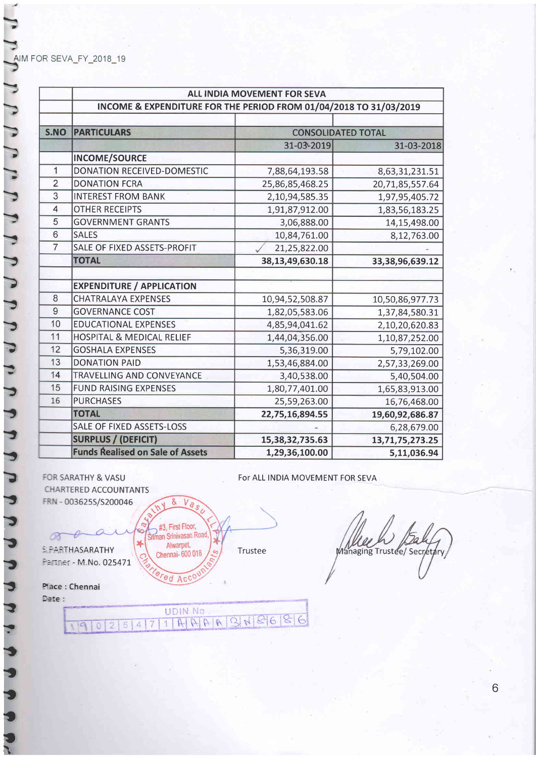|                | ALL INDIA MOVEMENT FOR SEVA<br>INCOME & EXPENDITURE FOR THE PERIOD FROM 01/04/2018 TO 31/03/2019 |                           |                     |  |
|----------------|--------------------------------------------------------------------------------------------------|---------------------------|---------------------|--|
|                |                                                                                                  |                           |                     |  |
| S.NO           | <b>PARTICULARS</b>                                                                               | <b>CONSOLIDATED TOTAL</b> |                     |  |
|                |                                                                                                  | 31-03-2019                | 31-03-2018          |  |
|                | <b>INCOME/SOURCE</b>                                                                             |                           |                     |  |
| $\overline{1}$ | <b>DONATION RECEIVED-DOMESTIC</b>                                                                | 7,88,64,193.58            | 8,63,31,231.51      |  |
| $\overline{2}$ | <b>DONATION FCRA</b>                                                                             | 25,86,85,468.25           | 20,71,85,557.64     |  |
| 3              | <b>INTEREST FROM BANK</b>                                                                        | 2,10,94,585.35            | 1,97,95,405.72      |  |
| $\overline{4}$ | <b>OTHER RECEIPTS</b>                                                                            | 1,91,87,912.00            | 1,83,56,183.25      |  |
| $\overline{5}$ | <b>GOVERNMENT GRANTS</b>                                                                         | 3,06,888.00               | 14,15,498.00        |  |
| 6              | <b>SALES</b>                                                                                     | 10,84,761.00              | 8,12,763.00         |  |
| $\overline{7}$ | SALE OF FIXED ASSETS-PROFIT                                                                      | 21,25,822.00              |                     |  |
|                | <b>TOTAL</b>                                                                                     | 38, 13, 49, 630. 18       | 33, 38, 96, 639. 12 |  |
|                |                                                                                                  |                           |                     |  |
|                | <b>EXPENDITURE / APPLICATION</b>                                                                 |                           |                     |  |
| 8              | <b>CHATRALAYA EXPENSES</b>                                                                       | 10,94,52,508.87           | 10,50,86,977.73     |  |
| 9              | <b>GOVERNANCE COST</b>                                                                           | 1,82,05,583.06            | 1,37,84,580.31      |  |
| 10             | <b>EDUCATIONAL EXPENSES</b>                                                                      | 4,85,94,041.62            | 2,10,20,620.83      |  |
| 11             | <b>HOSPITAL &amp; MEDICAL RELIEF</b>                                                             | 1,44,04,356.00            | 1,10,87,252.00      |  |
| 12             | <b>GOSHALA EXPENSES</b>                                                                          | 5,36,319.00               | 5,79,102.00         |  |
| 13             | <b>DONATION PAID</b>                                                                             | 1,53,46,884.00            | 2,57,33,269.00      |  |
| 14             | <b>TRAVELLING AND CONVEYANCE</b>                                                                 | 3,40,538.00               | 5,40,504.00         |  |
| 15             | <b>FUND RAISING EXPENSES</b>                                                                     | 1,80,77,401.00            | 1,65,83,913.00      |  |
| 16             | <b>PURCHASES</b>                                                                                 | 25,59,263.00              | 16,76,468.00        |  |
|                | <b>TOTAL</b>                                                                                     | 22,75,16,894.55           | 19,60,92,686.87     |  |
|                | <b>SALE OF FIXED ASSETS-LOSS</b>                                                                 |                           | 6,28,679.00         |  |
|                | <b>SURPLUS / (DEFICIT)</b>                                                                       | 15,38,32,735.63           | 13,71,75,273.25     |  |
|                | <b>Funds Realised on Sale of Assets</b>                                                          | 1,29,36,100.00            | 5,11,036.94         |  |

FOR SARATHY & VASU **CHARTERED ACCOUNTANTS** FRN - 003625S/S200046

For ALL INDIA MOVEMENT FOR SEVA

 $V_{\overline{a}}$ 8 #3, First Floor,<br>Sriman Srinivasan Road, N  $\frac{1}{2}$ Alwarpet, **SPARTHASARATHY** Trustee Chennai-600 018  $\infty$ Partner - M.No. 025471 ed Acco

**UDIN No** 

 $11996996$ 

Managing Trustee/ Secretary

Place : Chennai Date:

 $119$ 

 $\overline{0}$  $\overline{2}$   $5|4$ 

 $7$ 

 $\sigma$ 

7 7 7 7 7 7 7 7 7 7 7 7 7 7 7 7 7 7 7  $\overline{C}$  $\overline{b}$ P P E E

6